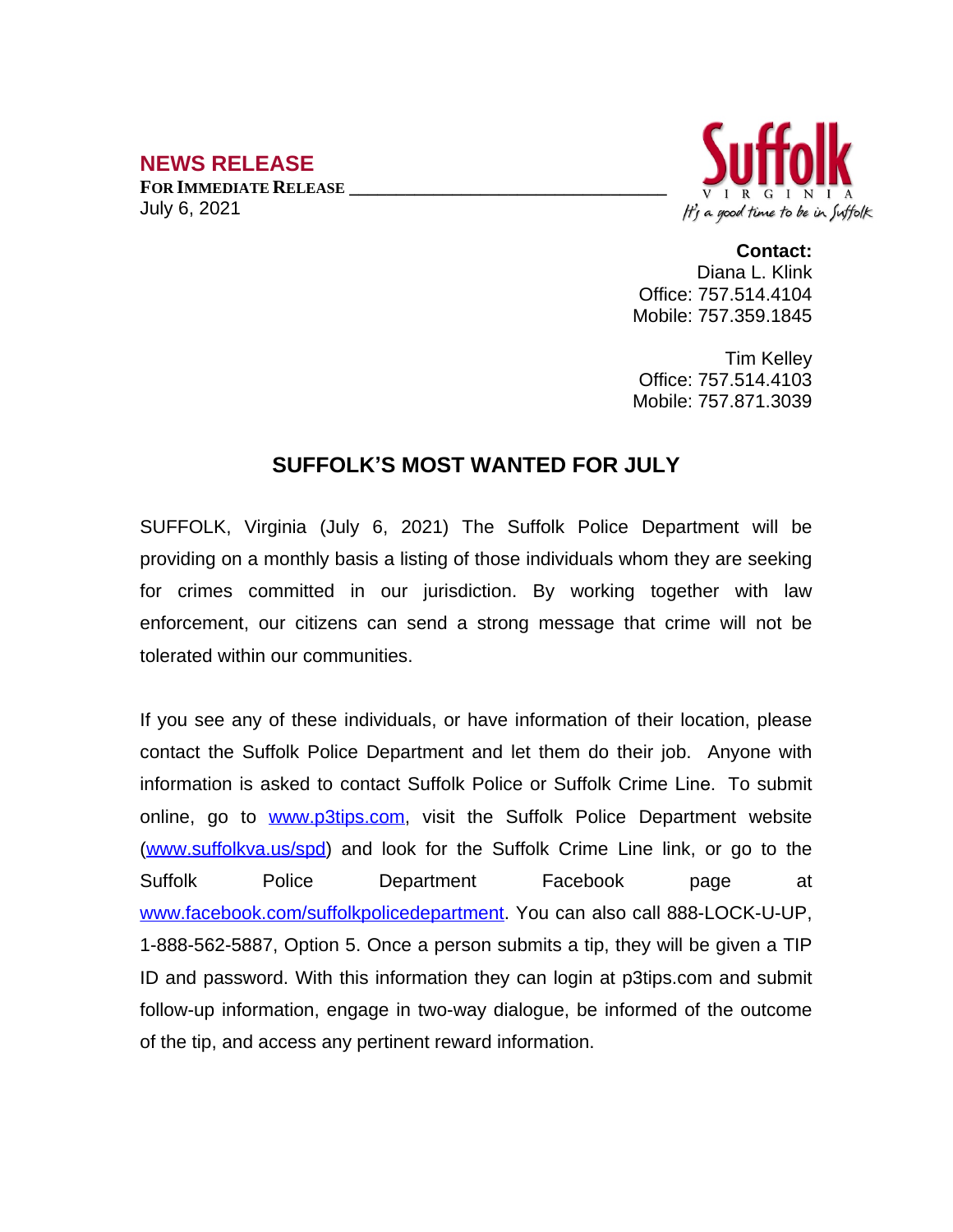## **NEWS RELEASE**

**FOR IMMEDIATE RELEASE \_\_\_\_\_\_\_\_\_\_\_\_\_\_\_\_\_\_\_\_\_\_\_\_\_\_\_\_\_\_\_\_\_\_** July 6, 2021



**Contact:** Diana L. Klink Office: 757.514.4104 Mobile: 757.359.1845

Tim Kelley Office: 757.514.4103 Mobile: 757.871.3039

## **SUFFOLK'S MOST WANTED FOR JULY**

SUFFOLK, Virginia (July 6, 2021) The Suffolk Police Department will be providing on a monthly basis a listing of those individuals whom they are seeking for crimes committed in our jurisdiction. By working together with law enforcement, our citizens can send a strong message that crime will not be tolerated within our communities.

If you see any of these individuals, or have information of their location, please contact the Suffolk Police Department and let them do their job. Anyone with information is asked to contact Suffolk Police or Suffolk Crime Line. To submit online, go to [www.p3tips.com](http://www.p3tips.com), visit the Suffolk Police Department website ([www.suffolkva.us/spd](http://www.suffolkva.us/spd)) and look for the Suffolk Crime Line link, or go to the Suffolk Police Department Facebook page at [www.facebook.com/suffolkpolicedepartment](http://www.facebook.com/suffolkpolicedepartment). You can also call 888-LOCK-U-UP, 1-888-562-5887, Option 5. Once a person submits a tip, they will be given a TIP ID and password. With this information they can login at p3tips.com and submit follow-up information, engage in two-way dialogue, be informed of the outcome of the tip, and access any pertinent reward information.